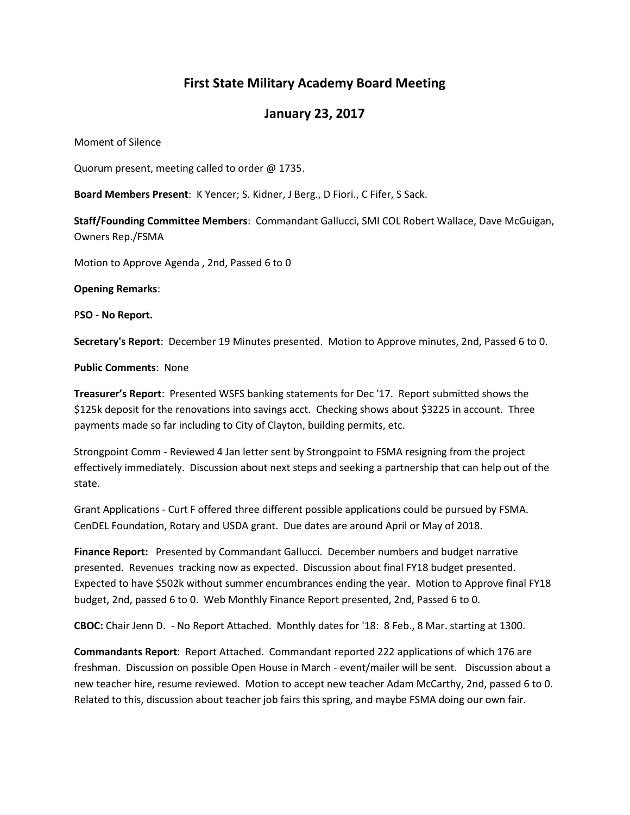## **First State Military Academy Board Meeting**

## **January 23, 2017**

Moment of Silence

Quorum present, meeting called to order @ 1735.

**Board Members Present**: K Yencer; S. Kidner, J Berg., D Fiori., C Fifer, S Sack.

**Staff/Founding Committee Members**: Commandant Gallucci, SMI COL Robert Wallace, Dave McGuigan, Owners Rep./FSMA

Motion to Approve Agenda , 2nd, Passed 6 to 0

**Opening Remarks**:

P**SO - No Report.**

**Secretary's Report**: December 19 Minutes presented. Motion to Approve minutes, 2nd, Passed 6 to 0.

**Public Comments**: None

**Treasurer's Report**: Presented WSFS banking statements for Dec '17. Report submitted shows the \$125k deposit for the renovations into savings acct. Checking shows about \$3225 in account. Three payments made so far including to City of Clayton, building permits, etc.

Strongpoint Comm - Reviewed 4 Jan letter sent by Strongpoint to FSMA resigning from the project effectively immediately. Discussion about next steps and seeking a partnership that can help out of the state.

Grant Applications - Curt F offered three different possible applications could be pursued by FSMA. CenDEL Foundation, Rotary and USDA grant. Due dates are around April or May of 2018.

**Finance Report:** Presented by Commandant Gallucci. December numbers and budget narrative presented. Revenues tracking now as expected. Discussion about final FY18 budget presented. Expected to have \$502k without summer encumbrances ending the year. Motion to Approve final FY18 budget, 2nd, passed 6 to 0. Web Monthly Finance Report presented, 2nd, Passed 6 to 0.

**CBOC:** Chair Jenn D. - No Report Attached. Monthly dates for '18: 8 Feb., 8 Mar. starting at 1300.

**Commandants Report**: Report Attached. Commandant reported 222 applications of which 176 are freshman. Discussion on possible Open House in March - event/mailer will be sent. Discussion about a new teacher hire, resume reviewed. Motion to accept new teacher Adam McCarthy, 2nd, passed 6 to 0. Related to this, discussion about teacher job fairs this spring, and maybe FSMA doing our own fair.